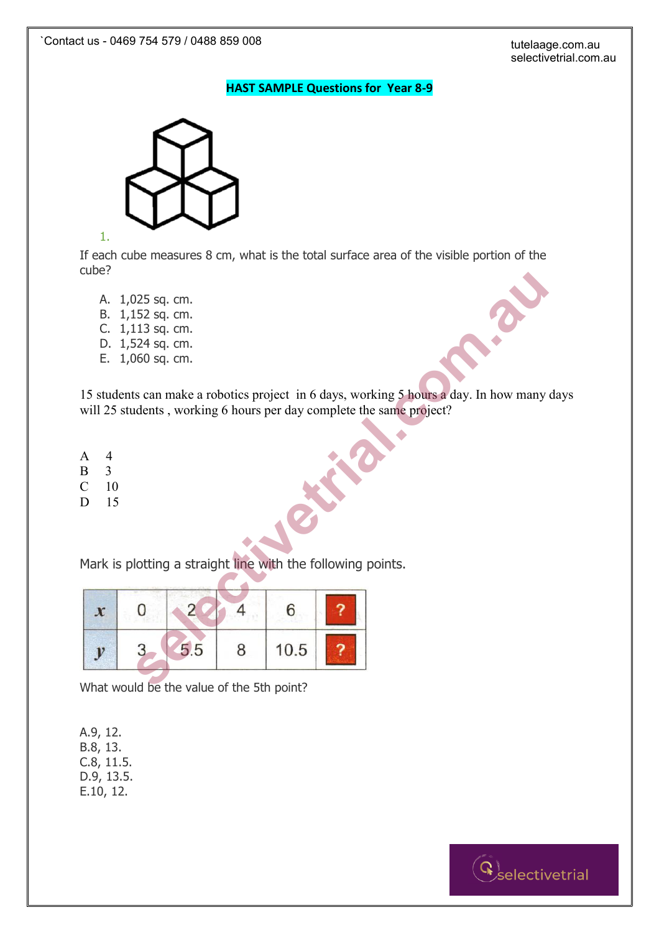## **HAST SAMPLE Questions for Year 8-9**



1.

If each cube measures 8 cm, what is the total surface area of the visible portion of the cube?

- A. 1,025 sq. cm.
- B. 1,152 sq. cm.
- C. 1,113 sq. cm.
- D. 1,524 sq. cm.
- E. 1,060 sq. cm.

15 students can make a robotics project in 6 days, working 5 hours a day. In how many days will 25 students, working 6 hours per day complete the same project?

- A 4
- B 3
- C 10
- D 15

| uuu :                                                                      |                                                                                                 |                                           |   |      |                                                                                                                                                               |
|----------------------------------------------------------------------------|-------------------------------------------------------------------------------------------------|-------------------------------------------|---|------|---------------------------------------------------------------------------------------------------------------------------------------------------------------|
| Α.                                                                         | $1,025$ sq. cm.<br>B. 1,152 sq. cm.<br>C. 1,113 sq. cm.<br>D. 1,524 sq. cm.<br>E. 1,060 sq. cm. |                                           |   |      |                                                                                                                                                               |
|                                                                            |                                                                                                 |                                           |   |      | 15 students can make a robotics project in 6 days, working 5 hours a day. In how many<br>will 25 students, working 6 hours per day complete the same project? |
| $\overline{4}$<br>A<br>B<br>$\overline{3}$<br>$\mathsf C$<br>10<br>D<br>15 |                                                                                                 |                                           |   |      |                                                                                                                                                               |
|                                                                            |                                                                                                 |                                           |   |      | Mark is plotting a straight line with the following points.                                                                                                   |
| $\boldsymbol{x}$                                                           |                                                                                                 |                                           |   | 6    |                                                                                                                                                               |
| $\mathbf{v}$                                                               |                                                                                                 | 5.5                                       | 8 | 10.5 |                                                                                                                                                               |
|                                                                            |                                                                                                 | What would he the value of the 5th noint? |   |      |                                                                                                                                                               |

What would be the value of the 5th point?

A.9, 12. B.8, 13. C.8, 11.5. D.9, 13.5. E.10, 12.